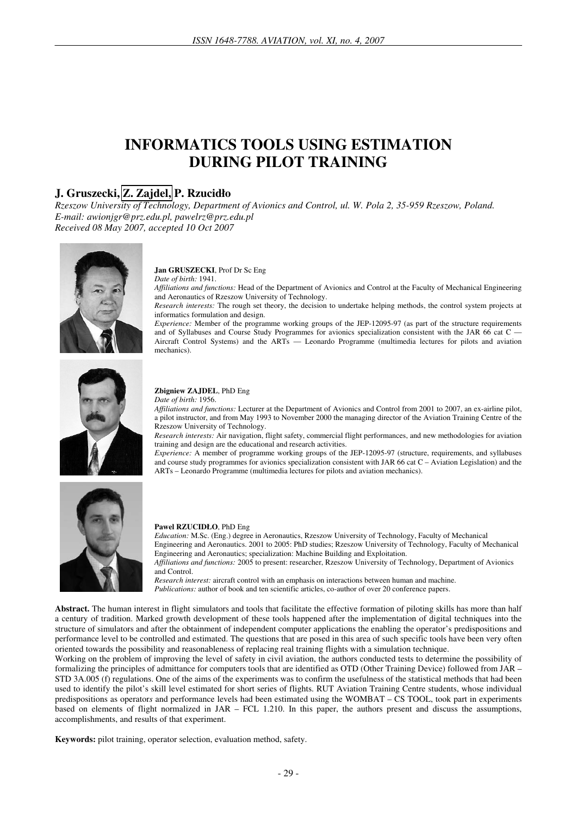# **INFORMATICS TOOLS USING ESTIMATION DURING PILOT TRAINING**

## **J. Gruszecki, Z. Zajdel, P. Rzucidło**

*Rzeszow University of Technology, Department of Avionics and Control, ul. W. Pola 2, 35-959 Rzeszow, Poland. E-mail: awionjgr@prz.edu.pl, pawelrz@prz.edu.pl Received 08 May 2007, accepted 10 Oct 2007* 



**Jan GRUSZECKI**, Prof Dr Sc Eng

*Date of birth:* 1941.

*Affiliations and functions:* Head of the Department of Avionics and Control at the Faculty of Mechanical Engineering and Aeronautics of Rzeszow University of Technology.

*Research interests:* The rough set theory, the decision to undertake helping methods, the control system projects at informatics formulation and design.

*Experience:* Member of the programme working groups of the JEP-12095-97 (as part of the structure requirements and of Syllabuses and Course Study Programmes for avionics specialization consistent with the JAR 66 cat C — Aircraft Control Systems) and the ARTs — Leonardo Programme (multimedia lectures for pilots and aviation mechanics).



## **Zbigniew ZAJDEL**, PhD Eng

*Date of birth:* 1956.

*Affiliations and functions:* Lecturer at the Department of Avionics and Control from 2001 to 2007, an ex-airline pilot, a pilot instructor, and from May 1993 to November 2000 the managing director of the Aviation Training Centre of the Rzeszow University of Technology.

*Research interests:* Air navigation, flight safety, commercial flight performances, and new methodologies for aviation training and design are the educational and research activities.

*Experience:* A member of programme working groups of the JEP-12095-97 (structure, requirements, and syllabuses and course study programmes for avionics specialization consistent with JAR 66 cat C – Aviation Legislation) and the ARTs – Leonardo Programme (multimedia lectures for pilots and aviation mechanics).



#### **Pawel RZUCIDŁO**, PhD Eng

*Education:* M.Sc. (Eng.) degree in Aeronautics, Rzeszow University of Technology, Faculty of Mechanical Engineering and Aeronautics. 2001 to 2005: PhD studies; Rzeszow University of Technology, Faculty of Mechanical

Engineering and Aeronautics; specialization: Machine Building and Exploitation.

*Affiliations and functions:* 2005 to present: researcher, Rzeszow University of Technology, Department of Avionics and Control.

*Research interest:* aircraft control with an emphasis on interactions between human and machine.

*Publications:* author of book and ten scientific articles, co-author of over 20 conference papers.

**Abstract.** The human interest in flight simulators and tools that facilitate the effective formation of piloting skills has more than half a century of tradition. Marked growth development of these tools happened after the implementation of digital techniques into the structure of simulators and after the obtainment of independent computer applications the enabling the operator's predispositions and performance level to be controlled and estimated. The questions that are posed in this area of such specific tools have been very often oriented towards the possibility and reasonableness of replacing real training flights with a simulation technique.

Working on the problem of improving the level of safety in civil aviation, the authors conducted tests to determine the possibility of formalizing the principles of admittance for computers tools that are identified as OTD (Other Training Device) followed from JAR – STD 3A.005 (f) regulations. One of the aims of the experiments was to confirm the usefulness of the statistical methods that had been used to identify the pilot's skill level estimated for short series of flights. RUT Aviation Training Centre students, whose individual predispositions as operator*s* and performance levels had been estimated using the WOMBAT – CS TOOL, took part in experiments based on elements of flight normalized in JAR – FCL 1.210. In this paper, the authors present and discuss the assumptions, accomplishments, and results of that experiment.

**Keywords:** pilot training, operator selection, evaluation method, safety.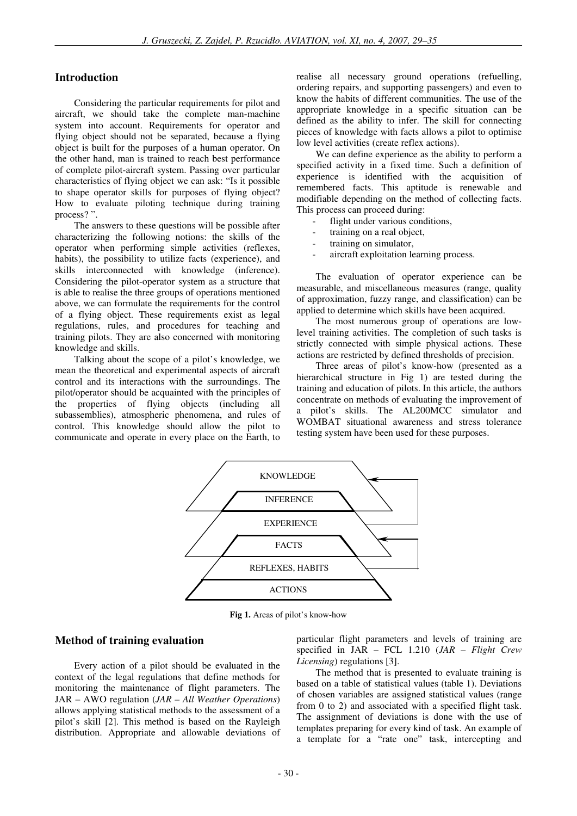## **Introduction**

Considering the particular requirements for pilot and aircraft, we should take the complete man-machine system into account. Requirements for operator and flying object should not be separated, because a flying object is built for the purposes of a human operator. On the other hand, man is trained to reach best performance of complete pilot-aircraft system. Passing over particular characteristics of flying object we can ask: "Is it possible to shape operator skills for purposes of flying object? How to evaluate piloting technique during training process? ".

The answers to these questions will be possible after characterizing the following notions: the skills of the operator when performing simple activities (reflexes, habits), the possibility to utilize facts (experience), and skills interconnected with knowledge (inference). Considering the pilot-operator system as a structure that is able to realise the three groups of operations mentioned above, we can formulate the requirements for the control of a flying object. These requirements exist as legal regulations, rules, and procedures for teaching and training pilots. They are also concerned with monitoring knowledge and skills.

Talking about the scope of a pilot's knowledge, we mean the theoretical and experimental aspects of aircraft control and its interactions with the surroundings. The pilot/operator should be acquainted with the principles of the properties of flying objects (including all subassemblies), atmospheric phenomena, and rules of control. This knowledge should allow the pilot to communicate and operate in every place on the Earth, to

realise all necessary ground operations (refuelling, ordering repairs, and supporting passengers) and even to know the habits of different communities. The use of the appropriate knowledge in a specific situation can be defined as the ability to infer. The skill for connecting pieces of knowledge with facts allows a pilot to optimise low level activities (create reflex actions).

We can define experience as the ability to perform a specified activity in a fixed time. Such a definition of experience is identified with the acquisition of remembered facts. This aptitude is renewable and modifiable depending on the method of collecting facts. This process can proceed during:

- flight under various conditions,
- training on a real object,
- training on simulator,
- aircraft exploitation learning process.

The evaluation of operator experience can be measurable, and miscellaneous measures (range, quality of approximation, fuzzy range, and classification) can be applied to determine which skills have been acquired.

The most numerous group of operations are lowlevel training activities. The completion of such tasks is strictly connected with simple physical actions. These actions are restricted by defined thresholds of precision.

Three areas of pilot's know-how (presented as a hierarchical structure in Fig 1) are tested during the training and education of pilots. In this article, the authors concentrate on methods of evaluating the improvement of a pilot's skills. The AL200MCC simulator and WOMBAT situational awareness and stress tolerance testing system have been used for these purposes.



**Fig 1.** Areas of pilot's know-how

## **Method of training evaluation**

Every action of a pilot should be evaluated in the context of the legal regulations that define methods for monitoring the maintenance of flight parameters. The JAR – AWO regulation (*JAR – All Weather Operations*) allows applying statistical methods to the assessment of a pilot's skill [2]. This method is based on the Rayleigh distribution. Appropriate and allowable deviations of particular flight parameters and levels of training are specified in JAR – FCL 1.210 (*JAR – Flight Crew Licensing*) regulations [3].

The method that is presented to evaluate training is based on a table of statistical values (table 1). Deviations of chosen variables are assigned statistical values (range from 0 to 2) and associated with a specified flight task. The assignment of deviations is done with the use of templates preparing for every kind of task. An example of a template for a "rate one" task, intercepting and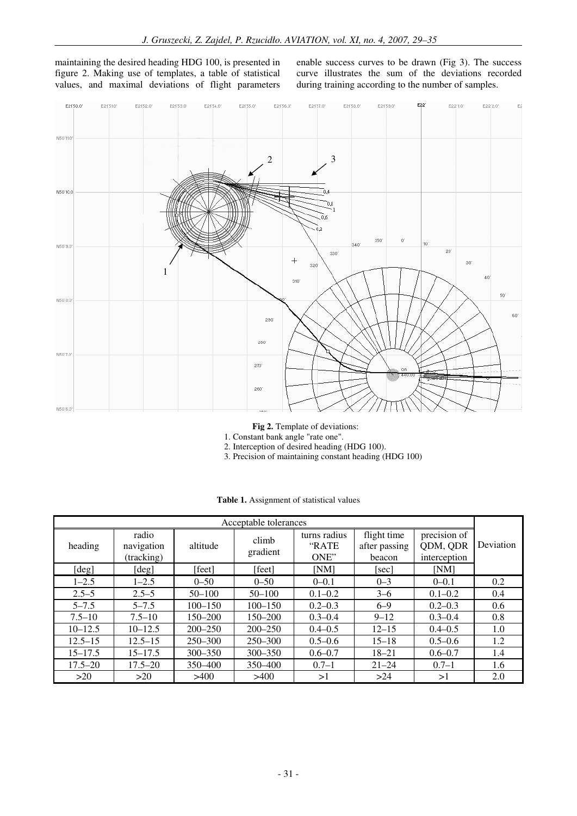maintaining the desired heading HDG 100, is presented in figure 2. Making use of templates, a table of statistical values, and maximal deviations of flight parameters

enable success curves to be drawn (Fig 3). The success curve illustrates the sum of the deviations recorded during training according to the number of samples.



**Fig 2.** Template of deviations:

- 1. Constant bank angle "rate one".
- 2. Interception of desired heading (HDG 100).
- 3. Precision of maintaining constant heading (HDG 100)

#### **Table 1.** Assignment of statistical values

| Acceptable tolerances |                                   |             |                   |                               |                                        |                                          |           |
|-----------------------|-----------------------------------|-------------|-------------------|-------------------------------|----------------------------------------|------------------------------------------|-----------|
| heading               | radio<br>navigation<br>(tracking) | altitude    | climb<br>gradient | turns radius<br>"RATE<br>ONE" | flight time<br>after passing<br>beacon | precision of<br>QDM, QDR<br>interception | Deviation |
| [deg]                 | [deg]                             | [feet]      | [feet]            | [NM]                          | [sec]                                  | [NM]                                     |           |
| $1 - 2.5$             | $1 - 2.5$                         | $0 - 50$    | $0 - 50$          | $0 - 0.1$                     | $0 - 3$                                | $0 - 0.1$                                | 0.2       |
| $2.5 - 5$             | $2.5 - 5$                         | $50 - 100$  | $50 - 100$        | $0.1 - 0.2$                   | $3-6$                                  | $0.1 - 0.2$                              | 0.4       |
| $5 - 7.5$             | $5 - 7.5$                         | $100 - 150$ | $100 - 150$       | $0.2 - 0.3$                   | $6 - 9$                                | $0.2 - 0.3$                              | 0.6       |
| $7.5 - 10$            | $7.5 - 10$                        | 150–200     | $150 - 200$       | $0.3 - 0.4$                   | $9 - 12$                               | $0.3 - 0.4$                              | 0.8       |
| $10 - 12.5$           | $10 - 12.5$                       | $200 - 250$ | $200 - 250$       | $0.4 - 0.5$                   | $12 - 15$                              | $0.4 - 0.5$                              | 1.0       |
| $12.5 - 15$           | $12.5 - 15$                       | $250 - 300$ | $250 - 300$       | $0.5 - 0.6$                   | $15 - 18$                              | $0.5 - 0.6$                              | 1.2       |
| $15 - 17.5$           | $15 - 17.5$                       | $300 - 350$ | $300 - 350$       | $0.6 - 0.7$                   | $18 - 21$                              | $0.6 - 0.7$                              | 1.4       |
| $17.5 - 20$           | $17.5 - 20$                       | 350-400     | 350 - 400         | $0.7 - 1$                     | $21 - 24$                              | $0.7 - 1$                                | 1.6       |
| >20                   | >20                               | >400        | >400              | >1                            | >24                                    | >1                                       | 2.0       |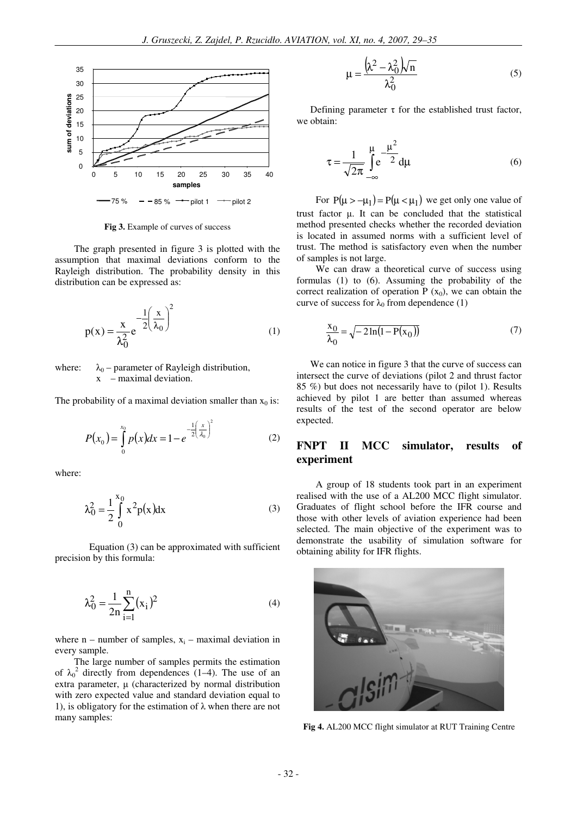

**Fig 3.** Example of curves of success

The graph presented in figure 3 is plotted with the assumption that maximal deviations conform to the Rayleigh distribution. The probability density in this distribution can be expressed as:

$$
p(x) = \frac{x}{\lambda_0^2} e^{-\frac{1}{2} \left(\frac{x}{\lambda_0}\right)^2}
$$
 (1)

where:  $\lambda_0$  – parameter of Rayleigh distribution, x – maximal deviation.

The probability of a maximal deviation smaller than  $x_0$  is:

$$
P(x_0) = \int_0^{x_0} p(x) dx = 1 - e^{-\frac{1}{2} \left(\frac{x}{\lambda_0}\right)^2}
$$
 (2)

where:

$$
\lambda_0^2 = \frac{1}{2} \int_0^{x_0} x^2 p(x) dx
$$
 (3)

Equation (3) can be approximated with sufficient precision by this formula:

$$
\lambda_0^2 = \frac{1}{2n} \sum_{i=1}^n (x_i)^2
$$
 (4)

where  $n$  – number of samples,  $x_i$  – maximal deviation in every sample.

The large number of samples permits the estimation of  $\lambda_0^2$  directly from dependences (1–4). The use of an extra parameter,  $\mu$  (characterized by normal distribution with zero expected value and standard deviation equal to 1), is obligatory for the estimation of  $\lambda$  when there are not many samples:

$$
\mu = \frac{\left(\lambda^2 - \lambda_0^2\right)\sqrt{n}}{\lambda_0^2} \tag{5}
$$

Defining parameter  $\tau$  for the established trust factor, we obtain:

$$
\tau = \frac{1}{\sqrt{2\pi}} \int_{-\infty}^{\mu} e^{-\frac{\mu^2}{2}} d\mu
$$
 (6)

For  $P(\mu > -\mu_1) = P(\mu < \mu_1)$  we get only one value of trust factor µ. It can be concluded that the statistical method presented checks whether the recorded deviation is located in assumed norms with a sufficient level of trust. The method is satisfactory even when the number of samples is not large.

We can draw a theoretical curve of success using formulas (1) to (6). Assuming the probability of the correct realization of operation P  $(x_0)$ , we can obtain the curve of success for  $\lambda_0$  from dependence (1)

$$
\frac{x_0}{\lambda_0} = \sqrt{-2\ln(1 - P(x_0))}
$$
\n(7)

We can notice in figure 3 that the curve of success can intersect the curve of deviations (pilot 2 and thrust factor 85 %) but does not necessarily have to (pilot 1). Results achieved by pilot 1 are better than assumed whereas results of the test of the second operator are below expected.

## **FNPT II MCC simulator, results of experiment**

A group of 18 students took part in an experiment realised with the use of a AL200 MCC flight simulator. Graduates of flight school before the IFR course and those with other levels of aviation experience had been selected. The main objective of the experiment was to demonstrate the usability of simulation software for obtaining ability for IFR flights.



**Fig 4.** AL200 MCC flight simulator at RUT Training Centre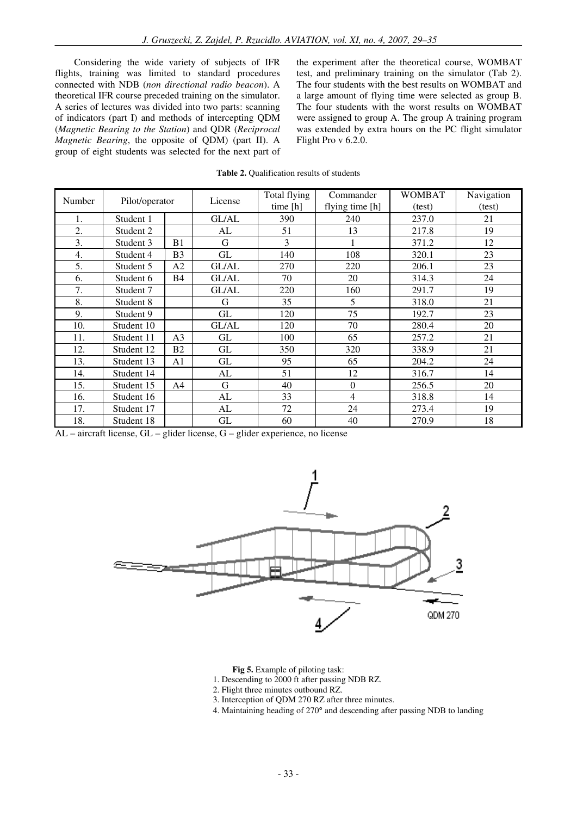Considering the wide variety of subjects of IFR flights, training was limited to standard procedures connected with NDB (*non directional radio beacon*). A theoretical IFR course preceded training on the simulator. A series of lectures was divided into two parts: scanning of indicators (part I) and methods of intercepting QDM (*Magnetic Bearing to the Station*) and QDR (*Reciprocal Magnetic Bearing*, the opposite of QDM) (part II). A group of eight students was selected for the next part of

the experiment after the theoretical course, WOMBAT test, and preliminary training on the simulator (Tab 2). The four students with the best results on WOMBAT and a large amount of flying time were selected as group B. The four students with the worst results on WOMBAT were assigned to group A. The group A training program was extended by extra hours on the PC flight simulator Flight Pro v 6.2.0.

| Number | Pilot/operator |                | Total flying<br>License<br>time $[h]$ |     | Commander<br>flying time [h] | <b>WOMBAT</b><br>(test) | Navigation<br>(test) |
|--------|----------------|----------------|---------------------------------------|-----|------------------------------|-------------------------|----------------------|
| 1.     | Student 1      |                | GL/AL                                 | 390 | 240                          | 237.0                   | 21                   |
| 2.     | Student 2      |                | AL                                    | 51  | 13                           | 217.8                   | 19                   |
| 3.     | Student 3      | B <sub>1</sub> | G                                     | 3   |                              | 371.2                   | 12                   |
| 4.     | Student 4      | B <sub>3</sub> | GL                                    | 140 | 108                          | 320.1                   | 23                   |
| 5.     | Student 5      | A2             | GL/AL                                 | 270 | 220                          | 206.1                   | 23                   |
| 6.     | Student 6      | B <sub>4</sub> | <b>GL/AL</b>                          | 70  | 20                           | 314.3                   | 24                   |
| 7.     | Student 7      |                | GL/AL                                 | 220 | 160                          | 291.7                   | 19                   |
| 8.     | Student 8      |                | G                                     | 35  | 5                            | 318.0                   | 21                   |
| 9.     | Student 9      |                | GL                                    | 120 | 75                           | 192.7                   | 23                   |
| 10.    | Student 10     |                | GL/AL                                 | 120 | 70                           | 280.4                   | 20                   |
| 11.    | Student 11     | A <sub>3</sub> | GL                                    | 100 | 65                           | 257.2                   | 21                   |
| 12.    | Student 12     | B <sub>2</sub> | GL                                    | 350 | 320                          | 338.9                   | 21                   |
| 13.    | Student 13     | A <sub>1</sub> | GL                                    | 95  | 65                           | 204.2                   | 24                   |
| 14.    | Student 14     |                | AL                                    | 51  | 12                           | 316.7                   | 14                   |
| 15.    | Student 15     | A <sup>4</sup> | G                                     | 40  | $\Omega$                     | 256.5                   | 20                   |
| 16.    | Student 16     |                | AL                                    | 33  | 4                            | 318.8                   | 14                   |
| 17.    | Student 17     |                | AL                                    | 72  | 24                           | 273.4                   | 19                   |
| 18.    | Student 18     |                | GL                                    | 60  | 40                           | 270.9                   | 18                   |

| <b>Table 2.</b> Qualification results of students |  |
|---------------------------------------------------|--|
|---------------------------------------------------|--|

AL – aircraft license, GL – glider license, G – glider experience, no license



**Fig 5.** Example of piloting task:

1. Descending to 2000 ft after passing NDB RZ.

2. Flight three minutes outbound RZ.

- 3. Interception of QDM 270 RZ after three minutes.
- 4. Maintaining heading of 270° and descending after passing NDB to landing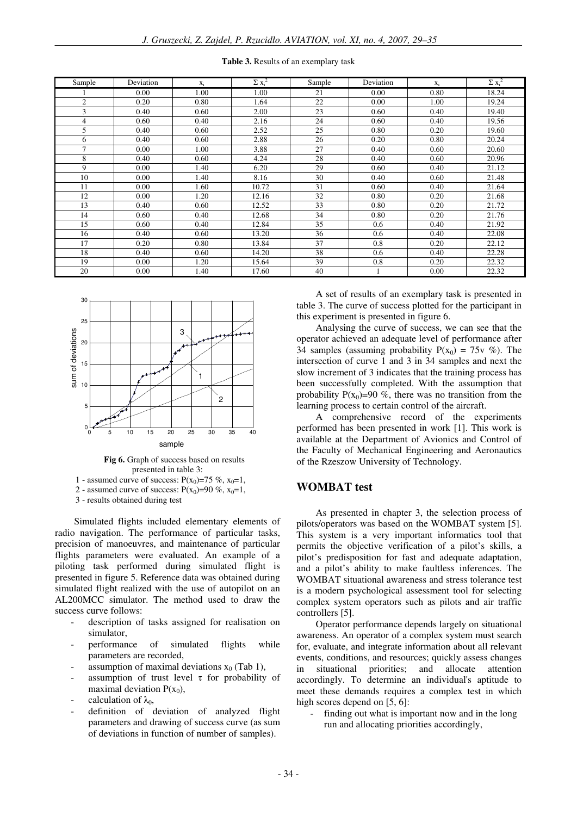| Sample | Deviation | $\mathbf{x}_i$ | $\Sigma x_i^2$ | Sample | Deviation | $X_i$ | $\Sigma x_i^2$ |
|--------|-----------|----------------|----------------|--------|-----------|-------|----------------|
|        | 0.00      | 1.00           | 1.00           | 21     | 0.00      | 0.80  | 18.24          |
| 2      | 0.20      | 0.80           | 1.64           | 22     | 0.00      | 1.00  | 19.24          |
| 3      | 0.40      | 0.60           | 2.00           | 23     | 0.60      | 0.40  | 19.40          |
| 4      | 0.60      | 0.40           | 2.16           | 24     | 0.60      | 0.40  | 19.56          |
| 5      | 0.40      | 0.60           | 2.52           | 25     | 0.80      | 0.20  | 19.60          |
| 6      | 0.40      | 0.60           | 2.88           | 26     | 0.20      | 0.80  | 20.24          |
| ⇁      | 0.00      | 1.00           | 3.88           | 27     | 0.40      | 0.60  | 20.60          |
| 8      | 0.40      | 0.60           | 4.24           | 28     | 0.40      | 0.60  | 20.96          |
| 9      | 0.00      | 1.40           | 6.20           | 29     | 0.60      | 0.40  | 21.12          |
| 10     | 0.00      | 1.40           | 8.16           | 30     | 0.40      | 0.60  | 21.48          |
| 11     | 0.00      | 1.60           | 10.72          | 31     | 0.60      | 0.40  | 21.64          |
| 12     | 0.00      | 1.20           | 12.16          | 32     | 0.80      | 0.20  | 21.68          |
| 13     | 0.40      | 0.60           | 12.52          | 33     | 0.80      | 0.20  | 21.72          |
| 14     | 0.60      | 0.40           | 12.68          | 34     | 0.80      | 0.20  | 21.76          |
| 15     | 0.60      | 0.40           | 12.84          | 35     | 0.6       | 0.40  | 21.92          |
| 16     | 0.40      | 0.60           | 13.20          | 36     | 0.6       | 0.40  | 22.08          |
| 17     | 0.20      | 0.80           | 13.84          | 37     | 0.8       | 0.20  | 22.12          |
| 18     | 0.40      | 0.60           | 14.20          | 38     | 0.6       | 0.40  | 22.28          |
| 19     | 0.00      | 1.20           | 15.64          | 39     | 0.8       | 0.20  | 22.32          |
| 20     | 0.00      | 1.40           | 17.60          | 40     |           | 0.00  | 22.32          |

**Table 3.** Results of an exemplary task



Fig 6. Graph of success based on results presented in table 3:

- 1 assumed curve of success:  $P(x_0)=75\%$ ,  $x_0=1$ ,
- 2 assumed curve of success:  $P(x_0)=90\%$ ,  $x_0=1$ ,
- 3 results obtained during test

Simulated flights included elementary elements of radio navigation. The performance of particular tasks, precision of manoeuvres, and maintenance of particular flights parameters were evaluated. An example of a piloting task performed during simulated flight is presented in figure 5. Reference data was obtained during simulated flight realized with the use of autopilot on an AL200MCC simulator. The method used to draw the success curve follows:

- description of tasks assigned for realisation on simulator,
- performance of simulated flights while parameters are recorded,
- assumption of maximal deviations  $x_0$  (Tab 1),
- assumption of trust level  $\tau$  for probability of maximal deviation  $P(x_0)$ ,
- calculation of  $\lambda_0$ ,
- definition of deviation of analyzed flight parameters and drawing of success curve (as sum of deviations in function of number of samples).

A set of results of an exemplary task is presented in table 3. The curve of success plotted for the participant in this experiment is presented in figure 6.

Analysing the curve of success, we can see that the operator achieved an adequate level of performance after 34 samples (assuming probability  $P(x_0) = 75v$  %). The intersection of curve 1 and 3 in 34 samples and next the slow increment of 3 indicates that the training process has been successfully completed. With the assumption that probability  $P(x_0)=90\%$ , there was no transition from the learning process to certain control of the aircraft.

A comprehensive record of the experiments performed has been presented in work [1]. This work is available at the Department of Avionics and Control of the Faculty of Mechanical Engineering and Aeronautics of the Rzeszow University of Technology.

## **WOMBAT test**

As presented in chapter 3, the selection process of pilots/operators was based on the WOMBAT system [5]. This system is a very important informatics tool that permits the objective verification of a pilot's skills, a pilot's predisposition for fast and adequate adaptation, and a pilot's ability to make faultless inferences. The WOMBAT situational awareness and stress tolerance test is a modern psychological assessment tool for selecting complex system operators such as pilots and air traffic controllers [5].

Operator performance depends largely on situational awareness. An operator of a complex system must search for, evaluate, and integrate information about all relevant events, conditions, and resources; quickly assess changes in situational priorities; and allocate attention accordingly. To determine an individual's aptitude to meet these demands requires a complex test in which high scores depend on [5, 6]:

finding out what is important now and in the long run and allocating priorities accordingly,